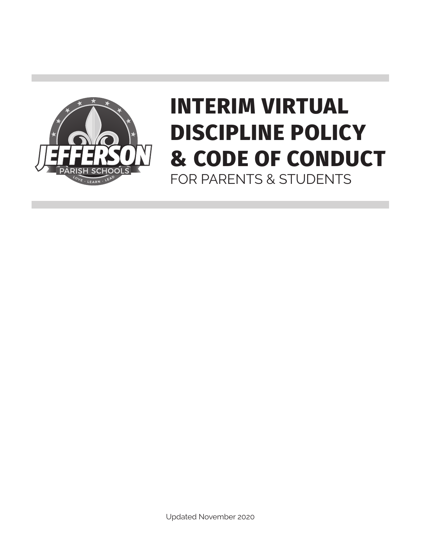

## **INTERIM VIRTUAL DISCIPLINE POLICY & CODE OF CONDUCT** FOR PARENTS & STUDENTS

Updated November 2020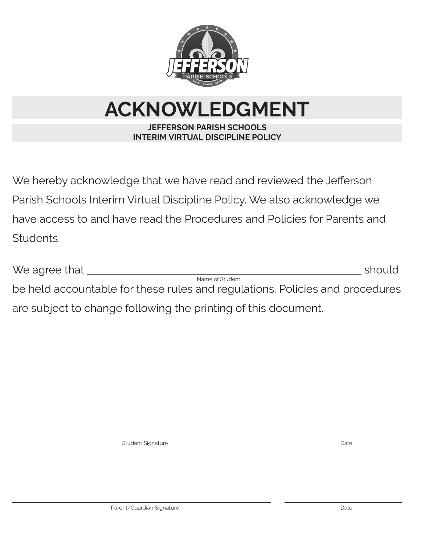

# **ACKNOWLEDGMENT**

### **JEFFERSON PARISH SCHOOLS INTERIM VIRTUAL DISCIPLINE POLICY**

We hereby acknowledge that we have read and reviewed the Jefferson Parish Schools Interim Virtual Discipline Policy. We also acknowledge we have access to and have read the Procedures and Policies for Parents and Students.

| We agree that                                                  | should                                                                       |
|----------------------------------------------------------------|------------------------------------------------------------------------------|
|                                                                | Name of Student                                                              |
|                                                                | be held accountable for these rules and regulations. Policies and procedures |
| are subject to change following the printing of this document. |                                                                              |

Student Signature Date Date of the United Student Signature Date Date Date Date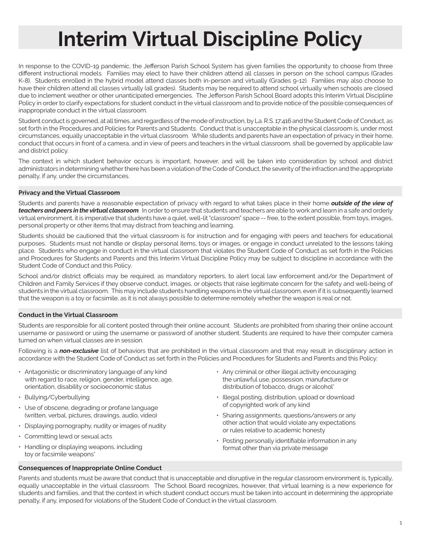### **Interim Virtual Discipline Policy**

In response to the COVID-19 pandemic, the Jefferson Parish School System has given families the opportunity to choose from three different instructional models. Families may elect to have their children attend all classes in person on the school campus (Grades K-8). Students enrolled in the hybrid model attend classes both in-person and virtually (Grades 9-12). Families may also choose to have their children attend all classes virtually (all grades). Students may be required to attend school virtually when schools are closed due to inclement weather or other unanticipated emergencies. The Jefferson Parish School Board adopts this Interim Virtual Discipline Policy in order to clarify expectations for student conduct in the virtual classroom and to provide notice of the possible consequences of inappropriate conduct in the virtual classroom.

Student conduct is governed, at all times, and regardless of the mode of instruction, by La. R.S. 17:416 and the Student Code of Conduct, as set forth in the Procedures and Policies for Parents and Students. Conduct that is unacceptable in the physical classroom is, under most circumstances, equally unacceptable in the virtual classroom. While students and parents have an expectation of privacy in their home, conduct that occurs in front of a camera, and in view of peers and teachers in the virtual classroom, shall be governed by applicable law and district policy.

The context in which student behavior occurs is important, however, and will be taken into consideration by school and district administrators in determining whether there has been a violation of the Code of Conduct, the severity of the infraction and the appropriate penalty, if any, under the circumstances.

#### **Privacy and the Virtual Classroom**

Students and parents have a reasonable expectation of privacy with regard to what takes place in their home *outside of the view of teachers and peers in the virtual classroom*. In order to ensure that students and teachers are able to work and learn in a safe and orderly virtual environment, it is imperative that students have a quiet, well-lit "classroom" space -- free, to the extent possible, from toys, images, personal property or other items that may distract from teaching and learning.

Students should be cautioned that the virtual classroom is for instruction and for engaging with peers and teachers for educational purposes. Students must not handle or display personal items, toys or images, or engage in conduct unrelated to the lessons taking place. Students who engage in conduct in the virtual classroom that violates the Student Code of Conduct as set forth in the Policies and Procedures for Students and Parents and this Interim Virtual Discipline Policy may be subject to discipline in accordance with the Student Code of Conduct and this Policy.

School and/or district officials may be required, as mandatory reporters, to alert local law enforcement and/or the Department of Children and Family Services if they observe conduct, images, or objects that raise legitimate concern for the safety and well-being of students in the virtual classroom. This may include students handling weapons in the virtual classroom, even if it is subsequently learned that the weapon is a toy or facsimile, as it is not always possible to determine remotely whether the weapon is real or not.

#### **Conduct in the Virtual Classroom**

Students are responsible for all content posted through their online account. Students are prohibited from sharing their online account username or password or using the username or password of another student. Students are required to have their computer camera turned on when virtual classes are in session.

Following is a *non-exclusive* list of behaviors that are prohibited in the virtual classroom and that may result in disciplinary action in accordance with the Student Code of Conduct as set forth in the Policies and Procedures for Students and Parents and this Policy:

- Antagonistic or discriminatory language of any kind with regard to race, religion, gender, intelligence, age, orientation, disability or socioeconomic status
- Bullying/Cyberbullying
- Use of obscene, degrading or profane language (written, verbal, pictures, drawings, audio, video)
- Displaying pornography, nudity or images of nudity
- $\cdot$  Committing lewd or sexual acts
- Handling or displaying weapons, including toy or facsimile weapons<sup>\*</sup>
- $\cdot$  Any criminal or other illegal activity encouraging the unlawful use, possession, manufacture or distribution of tobacco, drugs or alcohol<sup>\*</sup>
- Illegal posting, distribution, upload or download of copyrighted work of any kind
- $\cdot$  Sharing assignments, questions/answers or any other action that would violate any expectations or rules relative to academic honesty
- Posting personally identifiable information in any format other than via private message

#### **Consequences of Inappropriate Online Conduct**

Parents and students must be aware that conduct that is unacceptable and disruptive in the regular classroom environment is, typically, equally unacceptable in the virtual classroom. The School Board recognizes, however, that virtual learning is a new experience for students and families, and that the context in which student conduct occurs must be taken into account in determining the appropriate penalty, if any, imposed for violations of the Student Code of Conduct in the virtual classroom.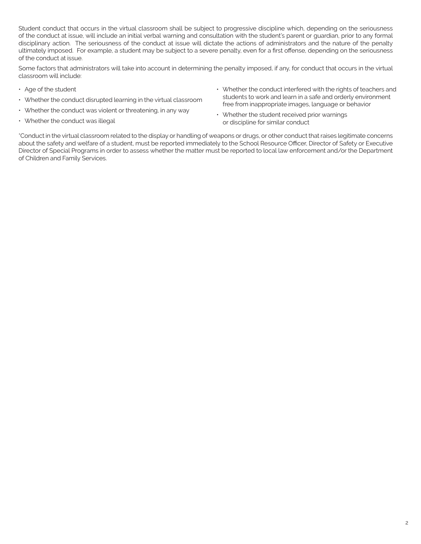Student conduct that occurs in the virtual classroom shall be subject to progressive discipline which, depending on the seriousness of the conduct at issue, will include an initial verbal warning and consultation with the student's parent or guardian, prior to any formal disciplinary action. The seriousness of the conduct at issue will dictate the actions of administrators and the nature of the penalty ultimately imposed. For example, a student may be subject to a severe penalty, even for a first offense, depending on the seriousness of the conduct at issue.

Some factors that administrators will take into account in determining the penalty imposed, if any, for conduct that occurs in the virtual classroom will include:

- $\cdot$  Age of the student
- $\cdot$  Whether the conduct disrupted learning in the virtual classroom
- $\cdot$  Whether the conduct was violent or threatening, in any way
- $\cdot$  Whether the conduct was illegal
- Whether the conduct interfered with the rights of teachers and students to work and learn in a safe and orderly environment free from inappropriate images, language or behavior
- $\cdot$  Whether the student received prior warnings or discipline for similar conduct

\*Conduct in the virtual classroom related to the display or handling of weapons or drugs, or other conduct that raises legitimate concerns about the safety and welfare of a student, must be reported immediately to the School Resource Officer, Director of Safety or Executive Director of Special Programs in order to assess whether the matter must be reported to local law enforcement and/or the Department of Children and Family Services.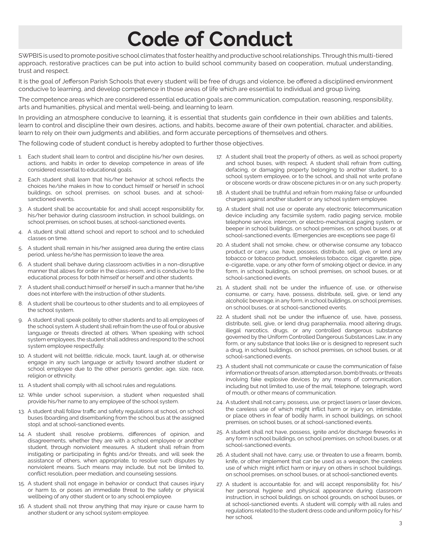### **Code of Conduct**

SWPBIS is used to promote positive school climates that foster healthy and productive school relationships. Through this multi-tiered approach, restorative practices can be put into action to build school community based on cooperation, mutual understanding, trust and respect.

It is the goal of Jefferson Parish Schools that every student will be free of drugs and violence, be offered a disciplined environment conducive to learning, and develop competence in those areas of life which are essential to individual and group living.

The competence areas which are considered essential education goals are communication, computation, reasoning, responsibility, arts and humanities, physical and mental well-being, and learning to learn.

In providing an atmosphere conducive to learning, it is essential that students gain confidence in their own abilities and talents, learn to control and discipline their own desires, actions, and habits, become aware of their own potential, character, and abilities, learn to rely on their own judgments and abilities, and form accurate perceptions of themselves and others.

The following code of student conduct is hereby adopted to further those objectives.

- 1. Each student shall learn to control and discipline his/her own desires, actions, and habits in order to develop competence in areas of life considered essential to educational goals.
- 2. Each student shall learn that his/her behavior at school reflects the choices he/she makes in how to conduct himself or herself in school buildings, on school premises, on school buses, and at schoolsanctioned events.
- 3. A student shall be accountable for, and shall accept responsibility for, his/her behavior during classroom instruction, in school buildings, on school premises, on school buses, at school-sanctioned events.
- 4. A student shall attend school and report to school and to scheduled classes on time.
- 5. A student shall remain in his/her assigned area during the entire class period, unless he/she has permission to leave the area.
- 6. A student shall behave during classroom activities in a non-disruptive manner that allows for order in the class-room, and is conducive to the educational process for both himself or herself and other students.
- 7. A student shall conduct himself or herself in such a manner that he/she does not interfere with the instruction of other students.
- 8. A student shall be courteous to other students and to all employees of the school system.
- 9. A student shall speak politely to other students and to all employees of the school system. A student shall refrain from the use of foul or abusive language or threats directed at others. When speaking with school system employees, the student shall address and respond to the school system employee respectfully.
- 10. A student will not belittle, ridicule, mock, taunt, laugh at, or otherwise engage in any such language or activity toward another student or school employee due to the other person's gender, age, size, race, religion or ethnicity.
- 11. A student shall comply with all school rules and regulations.
- 12. While under school supervision, a student when requested shall provide his/her name to any employee of the school system.
- 13. A student shall follow traffic and safety regulations at school, on school buses (boarding and disembarking from the school bus at the assigned stop), and at school-sanctioned events.
- 14. A student shall resolve problems, differences of opinion, and disagreements, whether they are with a school employee or another student, through nonviolent measures. A student shall refrain from instigating or participating in fights and/or threats, and will seek the assistance of others, when appropriate, to resolve such disputes by nonviolent means. Such means may include, but not be limited to, conflict resolution, peer mediation, and counseling sessions.
- 15. A student shall not engage in behavior or conduct that causes injury or harm to, or poses an immediate threat to the safety or physical wellbeing of any other student or to any school employee.
- 16. A student shall not throw anything that may injure or cause harm to another student or any school system employee.
- 17. A student shall treat the property of others, as well as school property and school buses, with respect. A student shall refrain from cutting, defacing, or damaging property belonging to another student, to a school system employee, or to the school, and shall not write profane or obscene words or draw obscene pictures in or on any such property.
- 18. A student shall be truthful and refrain from making false or unfounded charges against another student or any school system employee.
- 19. A student shall not use or operate any electronic telecommunication device including any facsimile system, radio paging service, mobile telephone service, intercom, or electro-mechanical paging system, or beeper in school buildings, on school premises, on school buses, or at school-sanctioned events. (Emergencies are exceptions see page 6)
- 20. A student shall not smoke, chew, or otherwise consume any tobacco product or carry, use, have, possess, distribute, sell, give, or lend any tobacco or tobacco product, smokeless tobacco, cigar, cigarette, pipe, e-cigarette, vape, or any other form of smoking object or device, in any form, in school buildings, on school premises, on school buses, or at school-sanctioned events.
- 21. A student shall not be under the influence of, use, or otherwise consume, or carry, have, possess, distribute, sell, give, or lend any alcoholic beverage, in any form, in school buildings, on school premises, on school buses, or at school-sanctioned events.
- 22. A student shall not be under the influence of, use, have, possess, distribute, sell, give, or lend drug paraphernalia, mood altering drugs, illegal narcotics, drugs, or any controlled dangerous substance governed by the Uniform Controlled Dangerous Substances Law, in any form, or any substance that looks like or is designed to represent such a drug, in school buildings, on school premises, on school buses, or at school-sanctioned events.
- 23. A student shall not communicate or cause the communication of false information or threats of arson, attempted arson, bomb threats, or threats involving fake explosive devices by any means of communication, including but not limited to, use of the mail, telephone, telegraph, word of mouth, or other means of communication.
- 24. A student shall not carry, possess, use, or project lasers or laser devices, the careless use of which might inflict harm or injury on, intimidate, or place others in fear of bodily harm, in school buildings, on school premises, on school buses, or at school-sanctioned events.
- 25. A student shall not have, possess, ignite and/or discharge fireworks in any form in school buildings, on school premises, on school buses, or at school-sanctioned events.
- 26. A student shall not have, carry, use, or threaten to use a firearm, bomb, knife, or other implement that can be used as a weapon, the careless use of which might inflict harm or injury on others in school buildings, on school premises, on school buses, or at school-sanctioned events.
- 27. A student is accountable for, and will accept responsibility for, his/ her personal hygiene and physical appearance during classroom instruction, in school buildings, on school grounds, on school buses, or at school-sanctioned events. A student will comply with all rules and regulations related to the student dress code and uniform policy for his/ her school.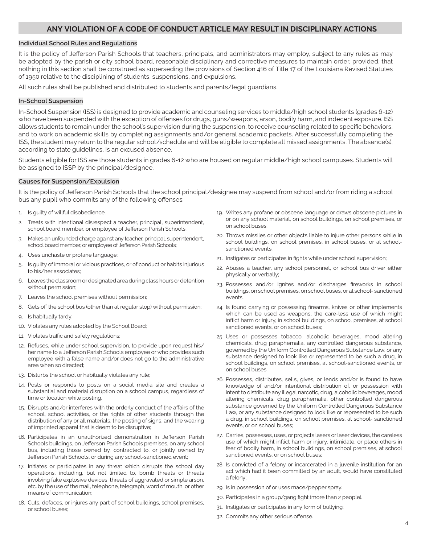#### **ANY VIOLATION OF A CODE OF CONDUCT ARTICLE MAY RESULT IN DISCIPLINARY ACTIONS**

#### **Individual School Rules and Regulations**

It is the policy of Jefferson Parish Schools that teachers, principals, and administrators may employ, subject to any rules as may be adopted by the parish or city school board, reasonable disciplinary and corrective measures to maintain order, provided, that nothing in this section shall be construed as superseding the provisions of Section 416 of Title 17 of the Louisiana Revised Statutes of 1950 relative to the disciplining of students, suspensions, and expulsions.

All such rules shall be published and distributed to students and parents/legal guardians.

#### **In-School Suspension**

In-School Suspension (ISS) is designed to provide academic and counseling services to middle/high school students (grades 6-12) who have been suspended with the exception of offenses for drugs, guns/weapons, arson, bodily harm, and indecent exposure. ISS allows students to remain under the school's supervision during the suspension, to receive counseling related to specific behaviors, and to work on academic skills by completing assignments and/or general academic packets. After successfully completing the ISS, the student may return to the regular school/schedule and will be eligible to complete all missed assignments. The absence(s), according to state guidelines, is an excused absence.

Students eligible for ISS are those students in grades 6-12 who are housed on regular middle/high school campuses. Students will be assigned to ISSP by the principal/designee.

#### **Causes for Suspension/Expulsion**

It is the policy of Jefferson Parish Schools that the school principal/designee may suspend from school and/or from riding a school bus any pupil who commits any of the following offenses:

- 1. Is guilty of willful disobedience;
- 2. Treats with intentional disrespect a teacher, principal, superintendent, school board member, or employee of Jefferson Parish Schools;
- 3. Makes an unfounded charge against any teacher, principal, superintendent, school board member, or employee of Jefferson Parish Schools;
- 4. Uses unchaste or profane language;
- Is guilty of immoral or vicious practices, or of conduct or habits injurious to his/her associates;
- 6. Leaves the classroom or designated area during class hours or detention without permission;
- 7. Leaves the school premises without permission;
- 8. Gets off the school bus (other than at regular stop) without permission;
- 9. Is habitually tardy;
- 10. Violates any rules adopted by the School Board;
- 11. Violates traffic and safety regulations;
- 12. Refuses, while under school supervision, to provide upon request his/ her name to a Jefferson Parish Schools employee or who provides such employee with a false name and/or does not go to the administrative area when so directed;
- 13. Disturbs the school or habitually violates any rule;
- 14. Posts or responds to posts on a social media site and creates a substantial and material disruption on a school campus, regardless of time or location while posting.
- 15. Disrupts and/or interferes with the orderly conduct of the affairs of the school, school activities, or the rights of other students through the distribution of any or all materials, the posting of signs, and the wearing of imprinted apparel that is deem to be disruptive;
- 16. Participates in an unauthorized demonstration in Jefferson Parish Schools buildings, on Jefferson Parish Schools premises, on any school bus, including those owned by, contracted to, or jointly owned by Jefferson Parish Schools, or during any school-sanctioned event;
- 17. Initiates or participates in any threat which disrupts the school day operations, including, but not limited to, bomb threats or threats involving fake explosive devices, threats of aggravated or simple arson, etc. by the use of the mail, telephone, telegraph, word of mouth, or other means of communication;
- 18. Cuts, defaces, or injures any part of school buildings, school premises, or school buses;
- 19. Writes any profane or obscene language or draws obscene pictures in or on any school material, on school buildings, on school premises, or on school buses;
- 20. Throws missiles or other objects liable to injure other persons while in school buildings, on school premises, in school buses, or at schoolsanctioned events;
- 21. Instigates or participates in fights while under school supervision;
- 22. Abuses a teacher, any school personnel, or school bus driver either physically or verbally;
- 23. Possesses and/or ignites and/or discharges fireworks in school buildings, on school premises, on school buses, or at school- sanctioned events;
- 24. Is found carrying or possessing firearms, knives or other implements which can be used as weapons, the care-less use of which might inflict harm or injury, in school buildings, on school premises, at school sanctioned events, or on school buses;
- 25. Uses or possesses tobacco, alcoholic beverages, mood altering chemicals, drug paraphernalia, any controlled dangerous substance, governed by the Uniform Controlled Dangerous Substance Law, or any substance designed to look like or represented to be such a drug, in school buildings, on school premises, at school-sanctioned events, or on school buses;
- 26. Possesses, distributes, sells, gives, or lends and/or is found to have knowledge of and/or intentional distribution of, or possession with intent to distribute any illegal narcotic, drug, alcoholic beverages, mood altering chemicals, drug paraphernalia, other controlled dangerous substance governed by the Uniform Controlled Dangerous Substance Law, or any substance designed to look like or represented to be such a drug, in school buildings, on school premises, at school- sanctioned events, or on school buses;
- 27. Carries, possesses, uses, or projects lasers or laser devices, the careless use of which might inflict harm or injury, intimidate, or place others in fear of bodily harm, in school buildings, on school premises, at school sanctioned events, or on school buses;
- 28. Is convicted of a felony or incarcerated in a juvenile institution for an act which had it been committed by an adult, would have constituted a felony;
- 29. Is in possession of or uses mace/pepper spray.
- 30. Participates in a group/gang fight (more than 2 people).
- 31. Instigates or participates in any form of bullying;
- 32. Commits any other serious offense.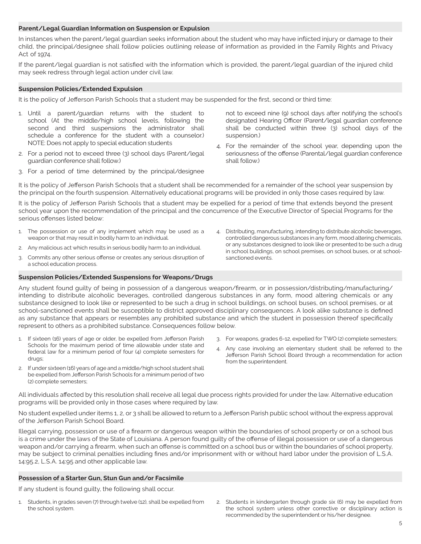#### **Parent/Legal Guardian Information on Suspension or Expulsion**

In instances when the parent/legal guardian seeks information about the student who may have inflicted injury or damage to their child, the principal/designee shall follow policies outlining release of information as provided in the Family Rights and Privacy Act of 1974.

If the parent/legal guardian is not satisfied with the information which is provided, the parent/legal guardian of the injured child may seek redress through legal action under civil law.

#### **Suspension Policies/Extended Expulsion**

It is the policy of Jefferson Parish Schools that a student may be suspended for the first, second or third time:

- 1. Until a parent/guardian returns with the student to school (At the middle/high school levels, following the second and third suspensions the administrator shall schedule a conference for the student with a counselor.) NOTE: Does not apply to special education students
- 2. For a period not to exceed three (3) school days (Parent/legal guardian conference shall follow.)

not to exceed nine (9) school days after notifying the school's designated Hearing Officer (Parent/legal guardian conference shall be conducted within three (3) school days of the suspension.)

4. For the remainder of the school year, depending upon the seriousness of the offense (Parental/legal guardian conference shall follow.)

4. Distributing, manufacturing, intending to distribute alcoholic beverages, controlled dangerous substances in any form, mood altering chemicals, or any substances designed to look like or presented to be such a drug in school buildings, on school premises, on school buses, or at school-

3. For a period of time determined by the principal/designee

It is the policy of Jefferson Parish Schools that a student shall be recommended for a remainder of the school year suspension by the principal on the fourth suspension. Alternatively educational programs will be provided in only those cases required by law.

It is the policy of Jefferson Parish Schools that a student may be expelled for a period of time that extends beyond the present school year upon the recommendation of the principal and the concurrence of the Executive Director of Special Programs for the serious offenses listed below:

sanctioned events.

- 1. The possession or use of any implement which may be used as a weapon or that may result in bodily harm to an individual.
- 2. Any malicious act which results in serious bodily harm to an individual.
- 3. Commits any other serious offense or creates any serious disruption of a school education process.

#### **Suspension Policies/Extended Suspensions for Weapons/Drugs**

Any student found guilty of being in possession of a dangerous weapon/firearm, or in possession/distributing/manufacturing/ intending to distribute alcoholic beverages, controlled dangerous substances in any form, mood altering chemicals or any substance designed to look like or represented to be such a drug in school buildings, on school buses, on school premises, or at school-sanctioned events shall be susceptible to district approved disciplinary consequences. A look alike substance is defined as any substance that appears or resembles any prohibited substance and which the student in possession thereof specifically represent to others as a prohibited substance. Consequences follow below.

- 1. If sixteen (16) years of age or older, be expelled from Jefferson Parish Schools for the maximum period of time allowable under state and federal law for a minimum period of four (4) complete semesters for drugs;
- 2. If under sixteen (16) years of age and a middle/high school student shall be expelled from Jefferson Parish Schools for a minimum period of two (2) complete semesters;
- 3. For weapons, grades 6-12, expelled for TWO (2) complete semesters;
- 4. Any case involving an elementary student shall be referred to the Jefferson Parish School Board through a recommendation for action from the superintendent.

All individuals affected by this resolution shall receive all legal due process rights provided for under the law. Alternative education programs will be provided only in those cases where required by law.

No student expelled under items 1, 2, or 3 shall be allowed to return to a Jefferson Parish public school without the express approval of the Jefferson Parish School Board.

Illegal carrying, possession or use of a firearm or dangerous weapon within the boundaries of school property or on a school bus is a crime under the laws of the State of Louisiana. A person found guilty of the offense of illegal possession or use of a dangerous weapon and/or carrying a firearm, when such an offense is committed on a school bus or within the boundaries of school property, may be subject to criminal penalties including fines and/or imprisonment with or without hard labor under the provision of L.S.A. 14:95.2, L.S.A. 14:95 and other applicable law.

#### **Possession of a Starter Gun, Stun Gun and/or Facsimile**

If any student is found guilty, the following shall occur.

- 1. Students, in grades seven (7) through twelve (12), shall be expelled from the school system.
- 2. Students in kindergarten through grade six (6) may be expelled from the school system unless other corrective or disciplinary action is recommended by the superintendent or his/her designee.